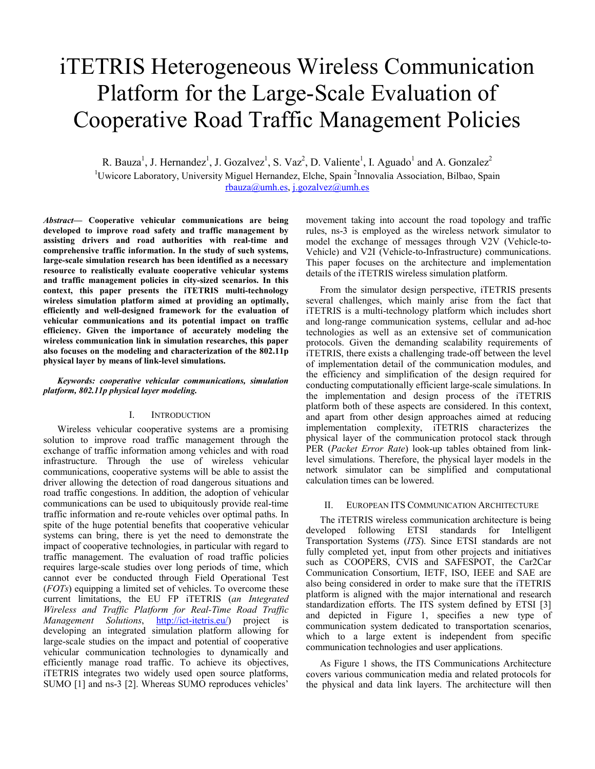# iTETRIS Heterogeneous Wireless Communication Platform for the Large-Scale Evaluation of Cooperative Road Traffic Management Policies

R. Bauza<sup>1</sup>, J. Hernandez<sup>1</sup>, J. Gozalvez<sup>1</sup>, S. Vaz<sup>2</sup>, D. Valiente<sup>1</sup>, I. Aguado<sup>1</sup> and A. Gonzalez<sup>2</sup> <sup>1</sup>Uwicore Laboratory, University Miguel Hernandez, Elche, Spain<sup>2</sup>Innovalia Association, Bilbao, Spain rbauza@umh.es, j.gozalvez@umh.es

Abstract— Cooperative vehicular communications are being developed to improve road safety and traffic management by assisting drivers and road authorities with real-time and comprehensive traffic information. In the study of such systems, large-scale simulation research has been identified as a necessary resource to realistically evaluate cooperative vehicular systems and traffic management policies in city-sized scenarios. In this context, this paper presents the iTETRIS multi-technology wireless simulation platform aimed at providing an optimally, efficiently and well-designed framework for the evaluation of vehicular communications and its potential impact on traffic efficiency. Given the importance of accurately modeling the wireless communication link in simulation researches, this paper also focuses on the modeling and characterization of the 802.11p physical layer by means of link-level simulations.

#### Keywords: cooperative vehicular communications, simulation platform, 802.11p physical layer modeling.

#### I. INTRODUCTION

Wireless vehicular cooperative systems are a promising solution to improve road traffic management through the exchange of traffic information among vehicles and with road infrastructure. Through the use of wireless vehicular communications, cooperative systems will be able to assist the driver allowing the detection of road dangerous situations and road traffic congestions. In addition, the adoption of vehicular communications can be used to ubiquitously provide real-time traffic information and re-route vehicles over optimal paths. In spite of the huge potential benefits that cooperative vehicular systems can bring, there is yet the need to demonstrate the impact of cooperative technologies, in particular with regard to traffic management. The evaluation of road traffic policies requires large-scale studies over long periods of time, which cannot ever be conducted through Field Operational Test (FOTs) equipping a limited set of vehicles. To overcome these current limitations, the EU FP iTETRIS (an Integrated Wireless and Traffic Platform for Real-Time Road Traffic Management Solutions, http://ict-itetris.eu/) project is developing an integrated simulation platform allowing for large-scale studies on the impact and potential of cooperative vehicular communication technologies to dynamically and efficiently manage road traffic. To achieve its objectives, iTETRIS integrates two widely used open source platforms, SUMO [1] and ns-3 [2]. Whereas SUMO reproduces vehicles'

movement taking into account the road topology and traffic rules, ns-3 is employed as the wireless network simulator to model the exchange of messages through V2V (Vehicle-to-Vehicle) and V2I (Vehicle-to-Infrastructure) communications. This paper focuses on the architecture and implementation details of the iTETRIS wireless simulation platform.

From the simulator design perspective, iTETRIS presents several challenges, which mainly arise from the fact that iTETRIS is a multi-technology platform which includes short and long-range communication systems, cellular and ad-hoc technologies as well as an extensive set of communication protocols. Given the demanding scalability requirements of iTETRIS, there exists a challenging trade-off between the level of implementation detail of the communication modules, and the efficiency and simplification of the design required for conducting computationally efficient large-scale simulations. In the implementation and design process of the iTETRIS platform both of these aspects are considered. In this context, and apart from other design approaches aimed at reducing implementation complexity, iTETRIS characterizes the physical layer of the communication protocol stack through PER (Packet Error Rate) look-up tables obtained from linklevel simulations. Therefore, the physical layer models in the network simulator can be simplified and computational calculation times can be lowered.

#### II. EUROPEAN ITS COMMUNICATION ARCHITECTURE

The iTETRIS wireless communication architecture is being developed following ETSI standards for Intelligent Transportation Systems (ITS). Since ETSI standards are not fully completed yet, input from other projects and initiatives such as COOPERS, CVIS and SAFESPOT, the Car2Car Communication Consortium, IETF, ISO, IEEE and SAE are also being considered in order to make sure that the iTETRIS platform is aligned with the major international and research standardization efforts. The ITS system defined by ETSI [3] and depicted in Figure 1, specifies a new type of communication system dedicated to transportation scenarios, which to a large extent is independent from specific communication technologies and user applications.

As Figure 1 shows, the ITS Communications Architecture covers various communication media and related protocols for the physical and data link layers. The architecture will then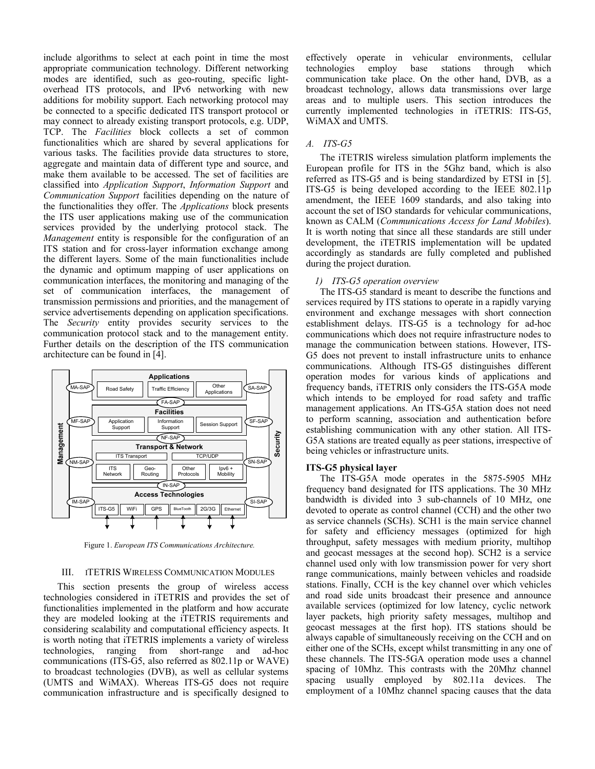include algorithms to select at each point in time the most appropriate communication technology. Different networking modes are identified, such as geo-routing, specific lightoverhead ITS protocols, and IPv6 networking with new additions for mobility support. Each networking protocol may be connected to a specific dedicated ITS transport protocol or may connect to already existing transport protocols, e.g. UDP, TCP. The Facilities block collects a set of common functionalities which are shared by several applications for various tasks. The facilities provide data structures to store, aggregate and maintain data of different type and source, and make them available to be accessed. The set of facilities are classified into Application Support, Information Support and Communication Support facilities depending on the nature of the functionalities they offer. The *Applications* block presents the ITS user applications making use of the communication services provided by the underlying protocol stack. The Management entity is responsible for the configuration of an ITS station and for cross-layer information exchange among the different layers. Some of the main functionalities include the dynamic and optimum mapping of user applications on communication interfaces, the monitoring and managing of the set of communication interfaces, the management of transmission permissions and priorities, and the management of service advertisements depending on application specifications. The Security entity provides security services to the communication protocol stack and to the management entity. Further details on the description of the ITS communication architecture can be found in [4].



Figure 1. European ITS Communications Architecture.

## III. ITETRIS WIRELESS COMMUNICATION MODULES

This section presents the group of wireless access technologies considered in iTETRIS and provides the set of functionalities implemented in the platform and how accurate they are modeled looking at the iTETRIS requirements and considering scalability and computational efficiency aspects. It is worth noting that iTETRIS implements a variety of wireless technologies, ranging from short-range and ad-hoc communications (ITS-G5, also referred as 802.11p or WAVE) to broadcast technologies (DVB), as well as cellular systems (UMTS and WiMAX). Whereas ITS-G5 does not require communication infrastructure and is specifically designed to

effectively operate in vehicular environments, cellular technologies employ base stations through which communication take place. On the other hand, DVB, as a broadcast technology, allows data transmissions over large areas and to multiple users. This section introduces the currently implemented technologies in iTETRIS: ITS-G5, WiMAX and UMTS.

#### A. ITS-G5

The iTETRIS wireless simulation platform implements the European profile for ITS in the 5Ghz band, which is also referred as ITS-G5 and is being standardized by ETSI in [5]. ITS-G5 is being developed according to the IEEE 802.11p amendment, the IEEE 1609 standards, and also taking into account the set of ISO standards for vehicular communications, known as CALM (Communications Access for Land Mobiles). It is worth noting that since all these standards are still under development, the iTETRIS implementation will be updated accordingly as standards are fully completed and published during the project duration.

## 1) ITS-G5 operation overview

The ITS-G5 standard is meant to describe the functions and services required by ITS stations to operate in a rapidly varying environment and exchange messages with short connection establishment delays. ITS-G5 is a technology for ad-hoc communications which does not require infrastructure nodes to manage the communication between stations. However, ITS-G5 does not prevent to install infrastructure units to enhance communications. Although ITS-G5 distinguishes different operation modes for various kinds of applications and frequency bands, iTETRIS only considers the ITS-G5A mode which intends to be employed for road safety and traffic management applications. An ITS-G5A station does not need to perform scanning, association and authentication before establishing communication with any other station. All ITS-G5A stations are treated equally as peer stations, irrespective of being vehicles or infrastructure units.

#### ITS-G5 physical layer

The ITS-G5A mode operates in the 5875-5905 MHz frequency band designated for ITS applications. The 30 MHz bandwidth is divided into 3 sub-channels of 10 MHz, one devoted to operate as control channel (CCH) and the other two as service channels (SCHs). SCH1 is the main service channel for safety and efficiency messages (optimized for high throughput, safety messages with medium priority, multihop and geocast messages at the second hop). SCH2 is a service channel used only with low transmission power for very short range communications, mainly between vehicles and roadside stations. Finally, CCH is the key channel over which vehicles and road side units broadcast their presence and announce available services (optimized for low latency, cyclic network layer packets, high priority safety messages, multihop and geocast messages at the first hop). ITS stations should be always capable of simultaneously receiving on the CCH and on either one of the SCHs, except whilst transmitting in any one of these channels. The ITS-5GA operation mode uses a channel spacing of 10Mhz. This contrasts with the 20Mhz channel spacing usually employed by 802.11a devices. The employment of a 10Mhz channel spacing causes that the data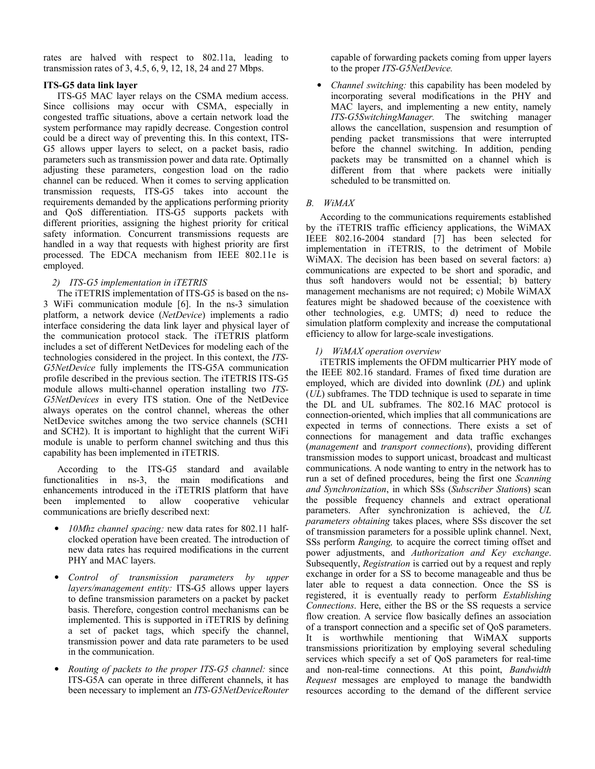rates are halved with respect to 802.11a, leading to transmission rates of 3, 4.5, 6, 9, 12, 18, 24 and 27 Mbps.

#### ITS-G5 data link layer

ITS-G5 MAC layer relays on the CSMA medium access. Since collisions may occur with CSMA, especially in congested traffic situations, above a certain network load the system performance may rapidly decrease. Congestion control could be a direct way of preventing this. In this context, ITS-G5 allows upper layers to select, on a packet basis, radio parameters such as transmission power and data rate. Optimally adjusting these parameters, congestion load on the radio channel can be reduced. When it comes to serving application transmission requests, ITS-G5 takes into account the requirements demanded by the applications performing priority and QoS differentiation. ITS-G5 supports packets with different priorities, assigning the highest priority for critical safety information. Concurrent transmissions requests are handled in a way that requests with highest priority are first processed. The EDCA mechanism from IEEE 802.11e is employed.

#### 2) ITS-G5 implementation in iTETRIS

The iTETRIS implementation of ITS-G5 is based on the ns-3 WiFi communication module [6]. In the ns-3 simulation platform, a network device (NetDevice) implements a radio interface considering the data link layer and physical layer of the communication protocol stack. The iTETRIS platform includes a set of different NetDevices for modeling each of the technologies considered in the project. In this context, the ITS-G5NetDevice fully implements the ITS-G5A communication profile described in the previous section. The iTETRIS ITS-G5 module allows multi-channel operation installing two ITS-G5NetDevices in every ITS station. One of the NetDevice always operates on the control channel, whereas the other NetDevice switches among the two service channels (SCH1 and SCH2). It is important to highlight that the current WiFi module is unable to perform channel switching and thus this capability has been implemented in iTETRIS.

According to the ITS-G5 standard and available functionalities in ns-3, the main modifications and enhancements introduced in the iTETRIS platform that have been implemented to allow cooperative vehicular communications are briefly described next:

- *10Mhz channel spacing:* new data rates for 802.11 halfclocked operation have been created. The introduction of new data rates has required modifications in the current PHY and MAC layers.
- Control of transmission parameters by upper layers/management entity: ITS-G5 allows upper layers to define transmission parameters on a packet by packet basis. Therefore, congestion control mechanisms can be implemented. This is supported in iTETRIS by defining a set of packet tags, which specify the channel, transmission power and data rate parameters to be used in the communication.
- Routing of packets to the proper ITS-G5 channel: since ITS-G5A can operate in three different channels, it has been necessary to implement an ITS-G5NetDeviceRouter

capable of forwarding packets coming from upper layers to the proper ITS-G5NetDevice.

• Channel switching: this capability has been modeled by incorporating several modifications in the PHY and MAC layers, and implementing a new entity, namely ITS-G5SwitchingManager. The switching manager allows the cancellation, suspension and resumption of pending packet transmissions that were interrupted before the channel switching. In addition, pending packets may be transmitted on a channel which is different from that where packets were initially scheduled to be transmitted on.

## B. WiMAX

According to the communications requirements established by the iTETRIS traffic efficiency applications, the WiMAX IEEE 802.16-2004 standard [7] has been selected for implementation in iTETRIS, to the detriment of Mobile WiMAX. The decision has been based on several factors: a) communications are expected to be short and sporadic, and thus soft handovers would not be essential; b) battery management mechanisms are not required; c) Mobile WiMAX features might be shadowed because of the coexistence with other technologies, e.g. UMTS; d) need to reduce the simulation platform complexity and increase the computational efficiency to allow for large-scale investigations.

## 1) WiMAX operation overview

iTETRIS implements the OFDM multicarrier PHY mode of the IEEE 802.16 standard. Frames of fixed time duration are employed, which are divided into downlink (DL) and uplink (UL) subframes. The TDD technique is used to separate in time the DL and UL subframes. The 802.16 MAC protocol is connection-oriented, which implies that all communications are expected in terms of connections. There exists a set of connections for management and data traffic exchanges (management and transport connections), providing different transmission modes to support unicast, broadcast and multicast communications. A node wanting to entry in the network has to run a set of defined procedures, being the first one Scanning and Synchronization, in which SSs (Subscriber Stations) scan the possible frequency channels and extract operational parameters. After synchronization is achieved, the UL parameters obtaining takes places, where SSs discover the set of transmission parameters for a possible uplink channel. Next, SSs perform Ranging, to acquire the correct timing offset and power adjustments, and Authorization and Key exchange. Subsequently, Registration is carried out by a request and reply exchange in order for a SS to become manageable and thus be later able to request a data connection. Once the SS is registered, it is eventually ready to perform Establishing Connections. Here, either the BS or the SS requests a service flow creation. A service flow basically defines an association of a transport connection and a specific set of QoS parameters. It is worthwhile mentioning that WiMAX supports transmissions prioritization by employing several scheduling services which specify a set of QoS parameters for real-time and non-real-time connections. At this point, Bandwidth Request messages are employed to manage the bandwidth resources according to the demand of the different service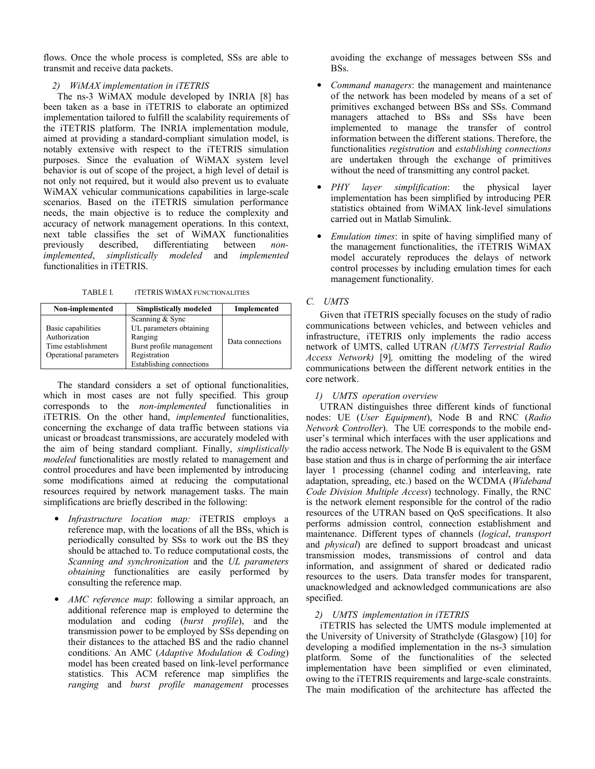flows. Once the whole process is completed, SSs are able to transmit and receive data packets.

## 2) WiMAX implementation in iTETRIS

The ns-3 WiMAX module developed by INRIA [8] has been taken as a base in iTETRIS to elaborate an optimized implementation tailored to fulfill the scalability requirements of the iTETRIS platform. The INRIA implementation module, aimed at providing a standard-compliant simulation model, is notably extensive with respect to the iTETRIS simulation purposes. Since the evaluation of WiMAX system level behavior is out of scope of the project, a high level of detail is not only not required, but it would also prevent us to evaluate WiMAX vehicular communications capabilities in large-scale scenarios. Based on the iTETRIS simulation performance needs, the main objective is to reduce the complexity and accuracy of network management operations. In this context, next table classifies the set of WiMAX functionalities previously described, differentiating between *non*described, differentiating between nonimplemented, simplistically modeled and implemented functionalities in iTETRIS.

TABLE I. **ITETRIS WIMAX FUNCTIONALITIES** 

| Non-implemented                                                                     | <b>Simplistically modeled</b>                                                                                                 | Implemented      |
|-------------------------------------------------------------------------------------|-------------------------------------------------------------------------------------------------------------------------------|------------------|
| Basic capabilities<br>Authorization<br>Time establishment<br>Operational parameters | Scanning & Sync<br>UL parameters obtaining<br>Ranging<br>Burst profile management<br>Registration<br>Establishing connections | Data connections |

The standard considers a set of optional functionalities, which in most cases are not fully specified. This group corresponds to the non-implemented functionalities in iTETRIS. On the other hand, implemented functionalities, concerning the exchange of data traffic between stations via unicast or broadcast transmissions, are accurately modeled with the aim of being standard compliant. Finally, *simplistically* modeled functionalities are mostly related to management and control procedures and have been implemented by introducing some modifications aimed at reducing the computational resources required by network management tasks. The main simplifications are briefly described in the following:

- Infrastructure location map: iTETRIS employs a reference map, with the locations of all the BSs, which is periodically consulted by SSs to work out the BS they should be attached to. To reduce computational costs, the Scanning and synchronization and the UL parameters obtaining functionalities are easily performed by consulting the reference map.
- AMC reference map: following a similar approach, an additional reference map is employed to determine the modulation and coding (burst profile), and the transmission power to be employed by SSs depending on their distances to the attached BS and the radio channel conditions. An AMC (Adaptive Modulation & Coding) model has been created based on link-level performance statistics. This ACM reference map simplifies the ranging and burst profile management processes

avoiding the exchange of messages between SSs and BSs.

- Command managers: the management and maintenance of the network has been modeled by means of a set of primitives exchanged between BSs and SSs. Command managers attached to BSs and SSs have been implemented to manage the transfer of control information between the different stations. Therefore, the functionalities registration and establishing connections are undertaken through the exchange of primitives without the need of transmitting any control packet.
- PHY layer simplification: the physical layer implementation has been simplified by introducing PER statistics obtained from WiMAX link-level simulations carried out in Matlab Simulink.
- Emulation times: in spite of having simplified many of the management functionalities, the iTETRIS WiMAX model accurately reproduces the delays of network control processes by including emulation times for each management functionality.

## C. UMTS

Given that iTETRIS specially focuses on the study of radio communications between vehicles, and between vehicles and infrastructure, iTETRIS only implements the radio access network of UMTS, called UTRAN (UMTS Terrestrial Radio Access Network) [9], omitting the modeling of the wired communications between the different network entities in the core network.

## 1) UMTS operation overview

UTRAN distinguishes three different kinds of functional nodes: UE (User Equipment), Node B and RNC (Radio Network Controller). The UE corresponds to the mobile enduser's terminal which interfaces with the user applications and the radio access network. The Node B is equivalent to the GSM base station and thus is in charge of performing the air interface layer 1 processing (channel coding and interleaving, rate adaptation, spreading, etc.) based on the WCDMA (Wideband Code Division Multiple Access) technology. Finally, the RNC is the network element responsible for the control of the radio resources of the UTRAN based on QoS specifications. It also performs admission control, connection establishment and maintenance. Different types of channels (logical, transport and physical) are defined to support broadcast and unicast transmission modes, transmissions of control and data information, and assignment of shared or dedicated radio resources to the users. Data transfer modes for transparent, unacknowledged and acknowledged communications are also specified.

## 2) UMTS implementation in iTETRIS

iTETRIS has selected the UMTS module implemented at the University of University of Strathclyde (Glasgow) [10] for developing a modified implementation in the ns-3 simulation platform. Some of the functionalities of the selected implementation have been simplified or even eliminated, owing to the iTETRIS requirements and large-scale constraints. The main modification of the architecture has affected the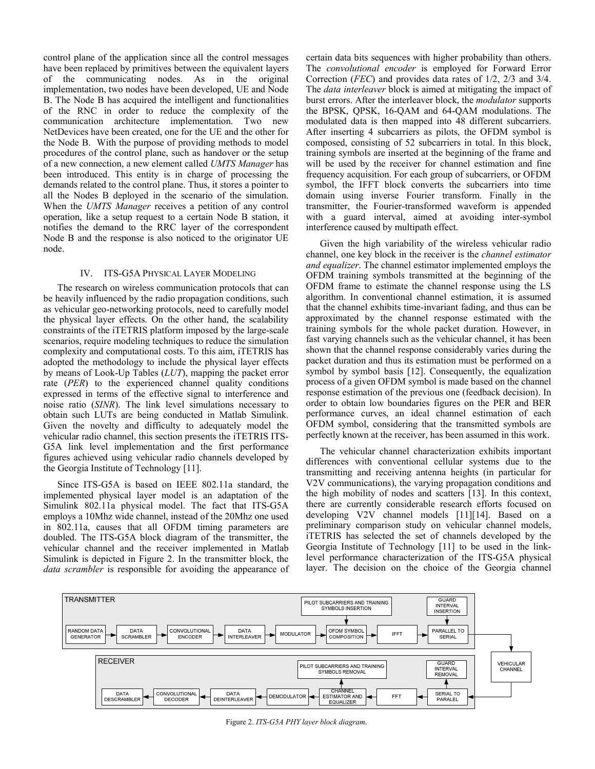control plane of the application since all the control messages have been replaced by primitives between the equivalent layers of the communicating nodes. As in the original implementation, two nodes have been developed, UE and Node B. The Node B has acquired the intelligent and functionalities of the RNC in order to reduce the complexity of the communication architecture implementation. Two new NetDevices have been created, one for the UE and the other for the Node B. With the purpose of providing methods to model procedures of the control plane, such as handover or the setup of a new connection, a new element called UMTS Manager has been introduced. This entity is in charge of processing the demands related to the control plane. Thus, it stores a pointer to all the Nodes B deployed in the scenario of the simulation. When the UMTS Manager receives a petition of any control operation, like a setup request to a certain Node B station, it notifies the demand to the RRC layer of the correspondent Node B and the response is also noticed to the originator UE node.

#### IV. ITS-G5A PHYSICAL LAYER MODELING

The research on wireless communication protocols that can be heavily influenced by the radio propagation conditions, such as vehicular geo-networking protocols, need to carefully model the physical layer effects. On the other hand, the scalability constraints of the iTETRIS platform imposed by the large-scale scenarios, require modeling techniques to reduce the simulation complexity and computational costs. To this aim, iTETRIS has adopted the methodology to include the physical layer effects by means of Look-Up Tables (LUT), mapping the packet error rate (PER) to the experienced channel quality conditions expressed in terms of the effective signal to interference and noise ratio (SINR). The link level simulations necessary to obtain such LUTs are being conducted in Matlab Simulink. Given the novelty and difficulty to adequately model the vehicular radio channel, this section presents the iTETRIS ITS-G5A link level implementation and the first performance figures achieved using vehicular radio channels developed by the Georgia Institute of Technology [11].

Since ITS-G5A is based on IEEE 802.11a standard, the implemented physical layer model is an adaptation of the Simulink 802.11a physical model. The fact that ITS-G5A employs a 10Mhz wide channel, instead of the 20Mhz one used in 802.11a, causes that all OFDM timing parameters are doubled. The ITS-G5A block diagram of the transmitter, the vehicular channel and the receiver implemented in Matlab Simulink is depicted in Figure 2. In the transmitter block, the data scrambler is responsible for avoiding the appearance of certain data bits sequences with higher probability than others. The convolutional encoder is employed for Forward Error Correction (FEC) and provides data rates of 1/2, 2/3 and 3/4. The *data interleaver* block is aimed at mitigating the impact of burst errors. After the interleaver block, the modulator supports the BPSK, QPSK, 16-QAM and 64-QAM modulations. The modulated data is then mapped into 48 different subcarriers. After inserting 4 subcarriers as pilots, the OFDM symbol is composed, consisting of 52 subcarriers in total. In this block, training symbols are inserted at the beginning of the frame and will be used by the receiver for channel estimation and fine frequency acquisition. For each group of subcarriers, or OFDM symbol, the IFFT block converts the subcarriers into time domain using inverse Fourier transform. Finally in the transmitter, the Fourier-transformed waveform is appended with a guard interval, aimed at avoiding inter-symbol interference caused by multipath effect.

Given the high variability of the wireless vehicular radio channel, one key block in the receiver is the channel estimator and equalizer. The channel estimator implemented employs the OFDM training symbols transmitted at the beginning of the OFDM frame to estimate the channel response using the LS algorithm. In conventional channel estimation, it is assumed that the channel exhibits time-invariant fading, and thus can be approximated by the channel response estimated with the training symbols for the whole packet duration. However, in fast varying channels such as the vehicular channel, it has been shown that the channel response considerably varies during the packet duration and thus its estimation must be performed on a symbol by symbol basis [12]. Consequently, the equalization process of a given OFDM symbol is made based on the channel response estimation of the previous one (feedback decision). In order to obtain low boundaries figures on the PER and BER performance curves, an ideal channel estimation of each OFDM symbol, considering that the transmitted symbols are perfectly known at the receiver, has been assumed in this work.

The vehicular channel characterization exhibits important differences with conventional cellular systems due to the transmitting and receiving antenna heights (in particular for V2V communications), the varying propagation conditions and the high mobility of nodes and scatters [13]. In this context, there are currently considerable research efforts focused on developing V2V channel models [11][14]. Based on a preliminary comparison study on vehicular channel models, iTETRIS has selected the set of channels developed by the Georgia Institute of Technology [11] to be used in the linklevel performance characterization of the ITS-G5A physical layer. The decision on the choice of the Georgia channel



Figure 2. ITS-G5A PHY layer block diagram.